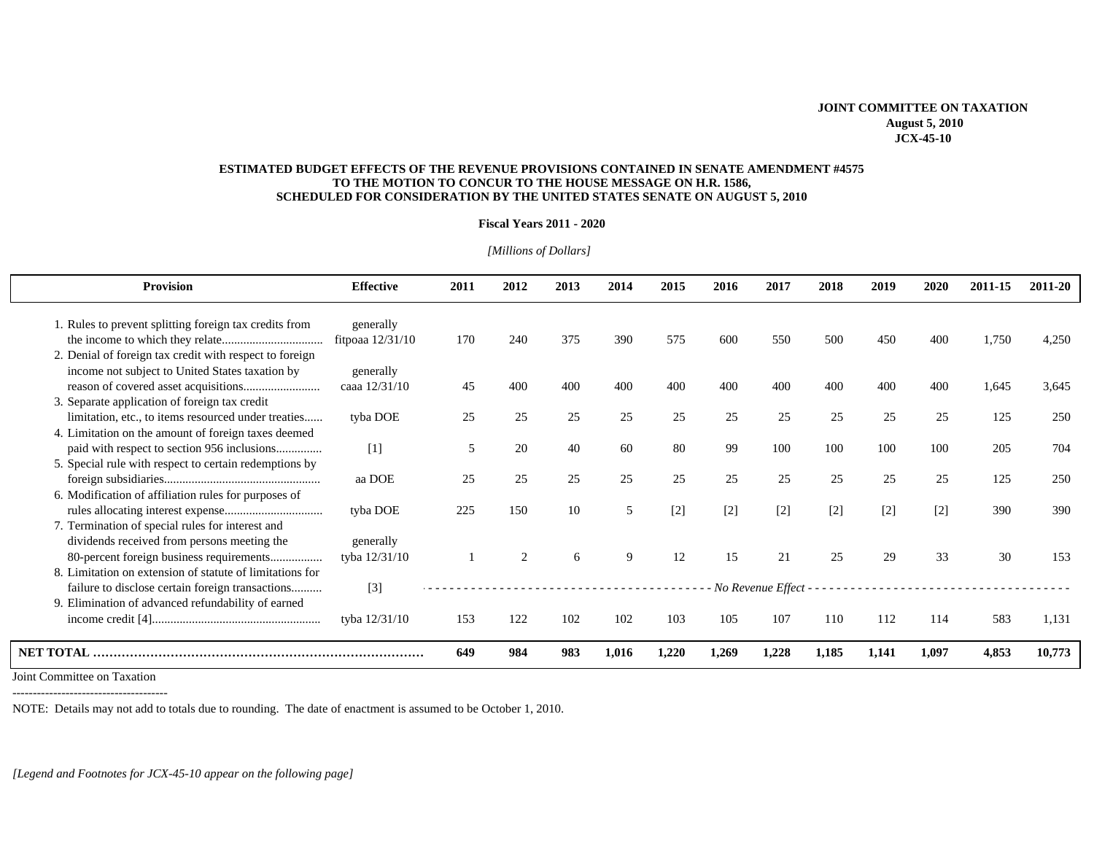## **JOINT COMMITTEE ON TAXATION August 5, 2010 JCX-45-10**

## **ESTIMATED BUDGET EFFECTS OF THE REVENUE PROVISIONS CONTAINED IN SENATE AMENDMENT #4575 TO THE MOTION TO CONCUR TO THE HOUSE MESSAGE ON H.R. 1586, SCHEDULED FOR CONSIDERATION BY THE UNITED STATES SENATE ON AUGUST 5, 2010**

## **Fiscal Years 2011 - 2020**

| <b>Provision</b>                                                                                                                                                   | <b>Effective</b>                | 2011 | 2012           | 2013 | 2014        | 2015  | 2016  | 2017                  | 2018  | 2019  | 2020  | 2011-15 | 2011-20 |
|--------------------------------------------------------------------------------------------------------------------------------------------------------------------|---------------------------------|------|----------------|------|-------------|-------|-------|-----------------------|-------|-------|-------|---------|---------|
| 1. Rules to prevent splitting foreign tax credits from                                                                                                             | generally<br>fitpoaa $12/31/10$ | 170  | 240            | 375  | 390         | 575   | 600   | 550                   | 500   | 450   | 400   | 1,750   | 4,250   |
| 2. Denial of foreign tax credit with respect to foreign<br>income not subject to United States taxation by                                                         | generally                       |      |                |      |             |       |       |                       |       |       |       |         |         |
| 3. Separate application of foreign tax credit                                                                                                                      | caaa 12/31/10                   | 45   | 400            | 400  | 400         | 400   | 400   | 400                   | 400   | 400   | 400   | 1.645   | 3.645   |
| limitation, etc., to items resourced under treaties<br>4. Limitation on the amount of foreign taxes deemed                                                         | tyba DOE                        | 25   | 25             | 25   | 25          | 25    | 25    | 25                    | 25    | 25    | 25    | 125     | 250     |
| 5. Special rule with respect to certain redemptions by                                                                                                             | $[1]$                           | 5    | 20             | 40   | 60          | 80    | 99    | 100                   | 100   | 100   | 100   | 205     | 704     |
| 6. Modification of affiliation rules for purposes of                                                                                                               | aa DOE                          | 25   | 25             | 25   | 25          | 25    | 25    | 25                    | 25    | 25    | 25    | 125     | 250     |
| 7. Termination of special rules for interest and                                                                                                                   | tyba DOE                        | 225  | 150            | 10   | 5           | $[2]$ | $[2]$ | $[2]$                 | $[2]$ | $[2]$ | $[2]$ | 390     | 390     |
| dividends received from persons meeting the<br>80-percent foreign business requirements                                                                            | generally<br>tyba 12/31/10      |      | $\mathfrak{D}$ | 6    | $\mathbf Q$ | 12    | 15    | 21                    | 25    | 29    | 33    | 30      | 153     |
| 8. Limitation on extension of statute of limitations for<br>failure to disclose certain foreign transactions<br>9. Elimination of advanced refundability of earned | $[3]$                           |      |                |      |             |       |       | - No Revenue Effect - |       |       |       |         |         |
|                                                                                                                                                                    | tyba 12/31/10                   | 153  | 122            | 102  | 102         | 103   | 105   | 107                   | 110   | 112   | 114   | 583     | 1.131   |
| <b>NET TOTAL</b>                                                                                                                                                   |                                 | 649  | 984            | 983  | 1,016       | 1,220 | 1,269 | 1,228                 | 1,185 | 1,141 | 1.097 | 4,853   | 10,773  |

*[Millions of Dollars]* 

Joint Committee on Taxation

--------------------------------------

NOTE: Details may not add to totals due to rounding. The date of enactment is assumed to be October 1, 2010.